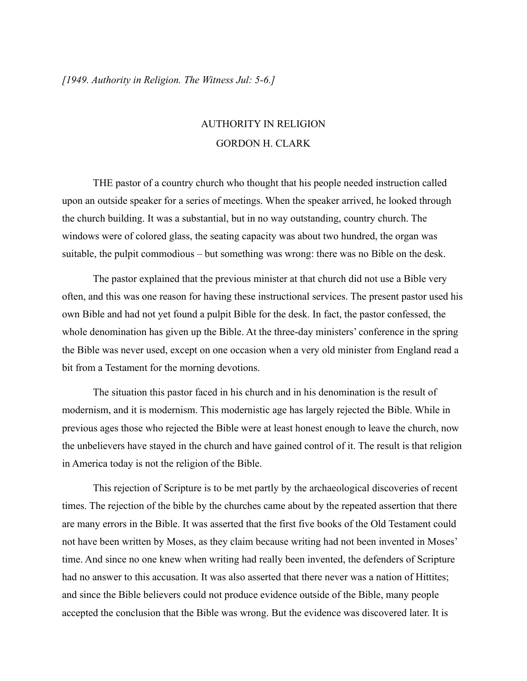## AUTHORITY IN RELIGION GORDON H. CLARK

THE pastor of a country church who thought that his people needed instruction called upon an outside speaker for a series of meetings. When the speaker arrived, he looked through the church building. It was a substantial, but in no way outstanding, country church. The windows were of colored glass, the seating capacity was about two hundred, the organ was suitable, the pulpit commodious – but something was wrong: there was no Bible on the desk.

The pastor explained that the previous minister at that church did not use a Bible very often, and this was one reason for having these instructional services. The present pastor used his own Bible and had not yet found a pulpit Bible for the desk. In fact, the pastor confessed, the whole denomination has given up the Bible. At the three-day ministers' conference in the spring the Bible was never used, except on one occasion when a very old minister from England read a bit from a Testament for the morning devotions.

The situation this pastor faced in his church and in his denomination is the result of modernism, and it is modernism. This modernistic age has largely rejected the Bible. While in previous ages those who rejected the Bible were at least honest enough to leave the church, now the unbelievers have stayed in the church and have gained control of it. The result is that religion in America today is not the religion of the Bible.

This rejection of Scripture is to be met partly by the archaeological discoveries of recent times. The rejection of the bible by the churches came about by the repeated assertion that there are many errors in the Bible. It was asserted that the first five books of the Old Testament could not have been written by Moses, as they claim because writing had not been invented in Moses' time. And since no one knew when writing had really been invented, the defenders of Scripture had no answer to this accusation. It was also asserted that there never was a nation of Hittites; and since the Bible believers could not produce evidence outside of the Bible, many people accepted the conclusion that the Bible was wrong. But the evidence was discovered later. It is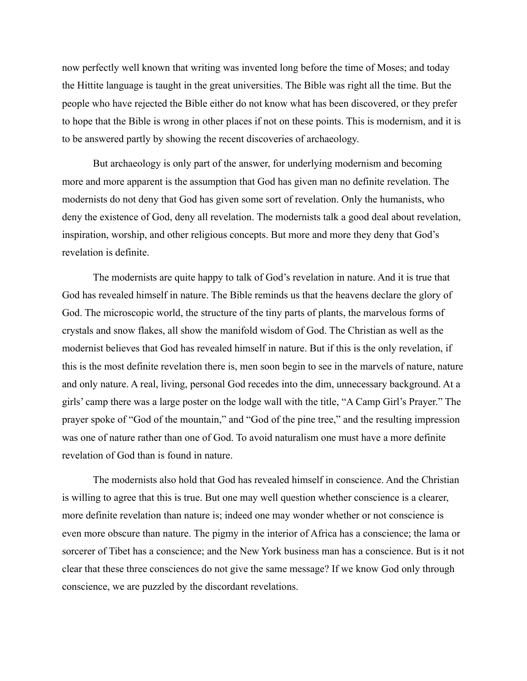now perfectly well known that writing was invented long before the time of Moses; and today the Hittite language is taught in the great universities. The Bible was right all the time. But the people who have rejected the Bible either do not know what has been discovered, or they prefer to hope that the Bible is wrong in other places if not on these points. This is modernism, and it is to be answered partly by showing the recent discoveries of archaeology.

But archaeology is only part of the answer, for underlying modernism and becoming more and more apparent is the assumption that God has given man no definite revelation. The modernists do not deny that God has given some sort of revelation. Only the humanists, who deny the existence of God, deny all revelation. The modernists talk a good deal about revelation, inspiration, worship, and other religious concepts. But more and more they deny that God's revelation is definite.

The modernists are quite happy to talk of God's revelation in nature. And it is true that God has revealed himself in nature. The Bible reminds us that the heavens declare the glory of God. The microscopic world, the structure of the tiny parts of plants, the marvelous forms of crystals and snow flakes, all show the manifold wisdom of God. The Christian as well as the modernist believes that God has revealed himself in nature. But if this is the only revelation, if this is the most definite revelation there is, men soon begin to see in the marvels of nature, nature and only nature. A real, living, personal God recedes into the dim, unnecessary background. At a girls' camp there was a large poster on the lodge wall with the title, "A Camp Girl's Prayer." The prayer spoke of "God of the mountain," and "God of the pine tree," and the resulting impression was one of nature rather than one of God. To avoid naturalism one must have a more definite revelation of God than is found in nature.

The modernists also hold that God has revealed himself in conscience. And the Christian is willing to agree that this is true. But one may well question whether conscience is a clearer, more definite revelation than nature is; indeed one may wonder whether or not conscience is even more obscure than nature. The pigmy in the interior of Africa has a conscience; the lama or sorcerer of Tibet has a conscience; and the New York business man has a conscience. But is it not clear that these three consciences do not give the same message? If we know God only through conscience, we are puzzled by the discordant revelations.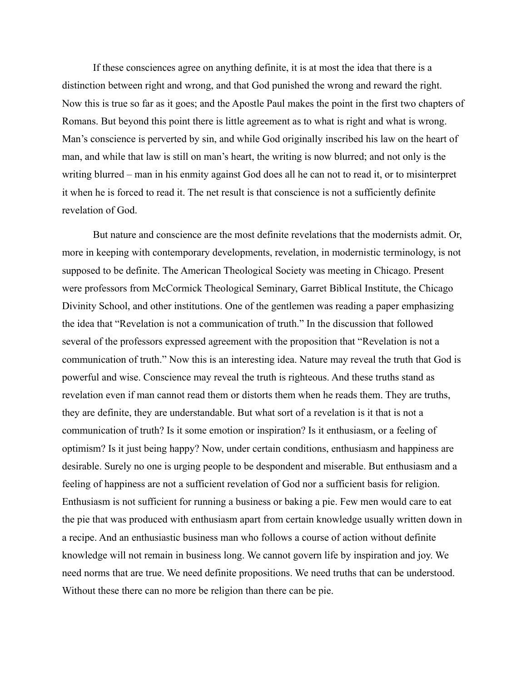If these consciences agree on anything definite, it is at most the idea that there is a distinction between right and wrong, and that God punished the wrong and reward the right. Now this is true so far as it goes; and the Apostle Paul makes the point in the first two chapters of Romans. But beyond this point there is little agreement as to what is right and what is wrong. Man's conscience is perverted by sin, and while God originally inscribed his law on the heart of man, and while that law is still on man's heart, the writing is now blurred; and not only is the writing blurred – man in his enmity against God does all he can not to read it, or to misinterpret it when he is forced to read it. The net result is that conscience is not a sufficiently definite revelation of God.

But nature and conscience are the most definite revelations that the modernists admit. Or, more in keeping with contemporary developments, revelation, in modernistic terminology, is not supposed to be definite. The American Theological Society was meeting in Chicago. Present were professors from McCormick Theological Seminary, Garret Biblical Institute, the Chicago Divinity School, and other institutions. One of the gentlemen was reading a paper emphasizing the idea that "Revelation is not a communication of truth." In the discussion that followed several of the professors expressed agreement with the proposition that "Revelation is not a communication of truth." Now this is an interesting idea. Nature may reveal the truth that God is powerful and wise. Conscience may reveal the truth is righteous. And these truths stand as revelation even if man cannot read them or distorts them when he reads them. They are truths, they are definite, they are understandable. But what sort of a revelation is it that is not a communication of truth? Is it some emotion or inspiration? Is it enthusiasm, or a feeling of optimism? Is it just being happy? Now, under certain conditions, enthusiasm and happiness are desirable. Surely no one is urging people to be despondent and miserable. But enthusiasm and a feeling of happiness are not a sufficient revelation of God nor a sufficient basis for religion. Enthusiasm is not sufficient for running a business or baking a pie. Few men would care to eat the pie that was produced with enthusiasm apart from certain knowledge usually written down in a recipe. And an enthusiastic business man who follows a course of action without definite knowledge will not remain in business long. We cannot govern life by inspiration and joy. We need norms that are true. We need definite propositions. We need truths that can be understood. Without these there can no more be religion than there can be pie.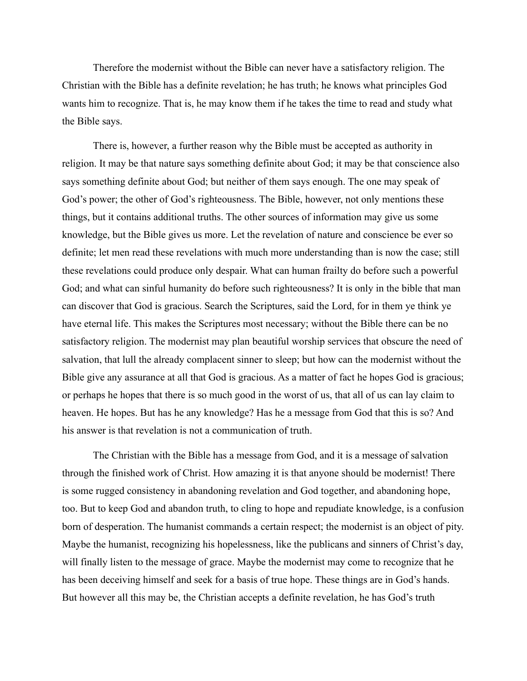Therefore the modernist without the Bible can never have a satisfactory religion. The Christian with the Bible has a definite revelation; he has truth; he knows what principles God wants him to recognize. That is, he may know them if he takes the time to read and study what the Bible says.

There is, however, a further reason why the Bible must be accepted as authority in religion. It may be that nature says something definite about God; it may be that conscience also says something definite about God; but neither of them says enough. The one may speak of God's power; the other of God's righteousness. The Bible, however, not only mentions these things, but it contains additional truths. The other sources of information may give us some knowledge, but the Bible gives us more. Let the revelation of nature and conscience be ever so definite; let men read these revelations with much more understanding than is now the case; still these revelations could produce only despair. What can human frailty do before such a powerful God; and what can sinful humanity do before such righteousness? It is only in the bible that man can discover that God is gracious. Search the Scriptures, said the Lord, for in them ye think ye have eternal life. This makes the Scriptures most necessary; without the Bible there can be no satisfactory religion. The modernist may plan beautiful worship services that obscure the need of salvation, that lull the already complacent sinner to sleep; but how can the modernist without the Bible give any assurance at all that God is gracious. As a matter of fact he hopes God is gracious; or perhaps he hopes that there is so much good in the worst of us, that all of us can lay claim to heaven. He hopes. But has he any knowledge? Has he a message from God that this is so? And his answer is that revelation is not a communication of truth.

The Christian with the Bible has a message from God, and it is a message of salvation through the finished work of Christ. How amazing it is that anyone should be modernist! There is some rugged consistency in abandoning revelation and God together, and abandoning hope, too. But to keep God and abandon truth, to cling to hope and repudiate knowledge, is a confusion born of desperation. The humanist commands a certain respect; the modernist is an object of pity. Maybe the humanist, recognizing his hopelessness, like the publicans and sinners of Christ's day, will finally listen to the message of grace. Maybe the modernist may come to recognize that he has been deceiving himself and seek for a basis of true hope. These things are in God's hands. But however all this may be, the Christian accepts a definite revelation, he has God's truth